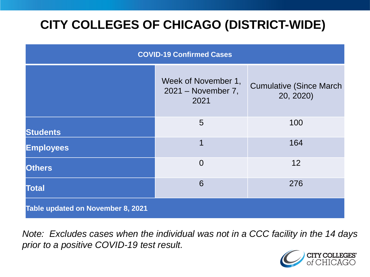# **CITY COLLEGES OF CHICAGO (DISTRICT-WIDE)**

| <b>COVID-19 Confirmed Cases</b>   |                                                   |                                              |
|-----------------------------------|---------------------------------------------------|----------------------------------------------|
|                                   | Week of November 1,<br>2021 - November 7,<br>2021 | <b>Cumulative (Since March)</b><br>20, 2020) |
| <b>Students</b>                   | 5                                                 | 100                                          |
| <b>Employees</b>                  | $\overline{1}$                                    | 164                                          |
| <b>Others</b>                     | $\overline{0}$                                    | 12                                           |
| <b>Total</b>                      | 6                                                 | 276                                          |
| Table updated on November 8, 2021 |                                                   |                                              |

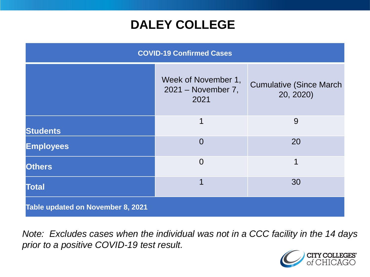### **DALEY COLLEGE**

| <b>COVID-19 Confirmed Cases</b>   |                                                   |                                              |
|-----------------------------------|---------------------------------------------------|----------------------------------------------|
|                                   | Week of November 1,<br>2021 - November 7,<br>2021 | <b>Cumulative (Since March)</b><br>20, 2020) |
| <b>Students</b>                   | $\overline{\mathbf{1}}$                           | 9                                            |
| <b>Employees</b>                  | $\Omega$                                          | 20                                           |
| <b>Others</b>                     | $\overline{0}$                                    | 1                                            |
| <b>Total</b>                      | 1                                                 | 30                                           |
| Table updated on November 8, 2021 |                                                   |                                              |

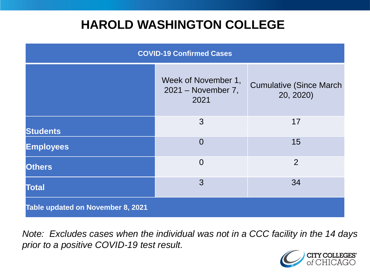### **HAROLD WASHINGTON COLLEGE**

| <b>COVID-19 Confirmed Cases</b>   |                                                   |                                              |
|-----------------------------------|---------------------------------------------------|----------------------------------------------|
|                                   | Week of November 1,<br>2021 – November 7,<br>2021 | <b>Cumulative (Since March)</b><br>20, 2020) |
| <b>Students</b>                   | 3                                                 | 17                                           |
| <b>Employees</b>                  | $\Omega$                                          | 15                                           |
| <b>Others</b>                     | $\overline{0}$                                    | $\overline{2}$                               |
| <b>Total</b>                      | 3                                                 | 34                                           |
| Table updated on November 8, 2021 |                                                   |                                              |

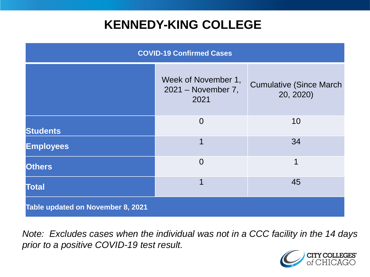### **KENNEDY-KING COLLEGE**

| <b>COVID-19 Confirmed Cases</b>          |                                                   |                                              |
|------------------------------------------|---------------------------------------------------|----------------------------------------------|
|                                          | Week of November 1,<br>2021 – November 7,<br>2021 | <b>Cumulative (Since March)</b><br>20, 2020) |
| <b>Students</b>                          | $\overline{0}$                                    | 10                                           |
| <b>Employees</b>                         | 1                                                 | 34                                           |
| <b>Others</b>                            | $\overline{0}$                                    | 1                                            |
| <b>Total</b>                             | 1                                                 | 45                                           |
| <b>Table updated on November 8, 2021</b> |                                                   |                                              |

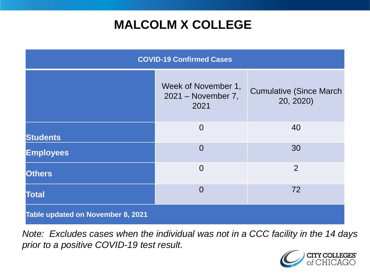# **MALCOLM X COLLEGE**

| <b>COVID-19 Confirmed Cases</b>   |                                                   |                                              |
|-----------------------------------|---------------------------------------------------|----------------------------------------------|
|                                   | Week of November 1,<br>2021 - November 7,<br>2021 | <b>Cumulative (Since March)</b><br>20, 2020) |
| <b>Students</b>                   | $\overline{0}$                                    | 40                                           |
| <b>Employees</b>                  | $\Omega$                                          | 30                                           |
| <b>Others</b>                     | $\overline{0}$                                    | $\overline{2}$                               |
| <b>Total</b>                      | $\Omega$                                          | 72                                           |
| Table updated on November 8, 2021 |                                                   |                                              |

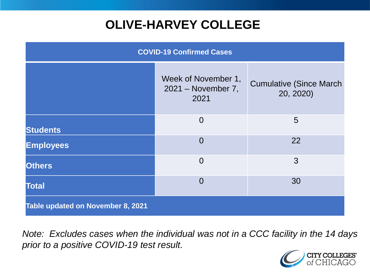# **OLIVE-HARVEY COLLEGE**

| <b>COVID-19 Confirmed Cases</b>   |                                                   |                                              |
|-----------------------------------|---------------------------------------------------|----------------------------------------------|
|                                   | Week of November 1,<br>2021 - November 7,<br>2021 | <b>Cumulative (Since March)</b><br>20, 2020) |
| <b>Students</b>                   | $\overline{0}$                                    | 5                                            |
| <b>Employees</b>                  | $\Omega$                                          | 22                                           |
| <b>Others</b>                     | $\overline{0}$                                    | 3                                            |
| <b>Total</b>                      | $\Omega$                                          | 30                                           |
| Table updated on November 8, 2021 |                                                   |                                              |

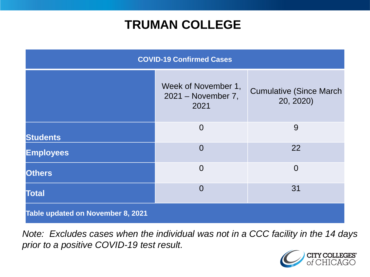### **TRUMAN COLLEGE**

| <b>COVID-19 Confirmed Cases</b>   |                                                   |                                              |
|-----------------------------------|---------------------------------------------------|----------------------------------------------|
|                                   | Week of November 1,<br>2021 - November 7,<br>2021 | <b>Cumulative (Since March)</b><br>20, 2020) |
| <b>Students</b>                   | $\overline{0}$                                    | 9                                            |
| <b>Employees</b>                  | $\overline{0}$                                    | 22                                           |
| <b>Others</b>                     | $\overline{0}$                                    | $\overline{0}$                               |
| <b>Total</b>                      | $\overline{0}$                                    | 31                                           |
| Table updated on November 8, 2021 |                                                   |                                              |

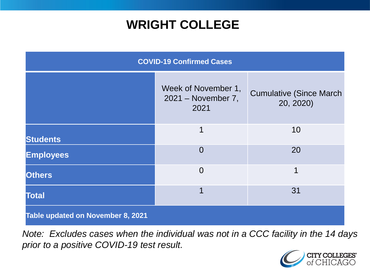### **WRIGHT COLLEGE**

| <b>COVID-19 Confirmed Cases</b>   |                                                   |                                              |
|-----------------------------------|---------------------------------------------------|----------------------------------------------|
|                                   | Week of November 1,<br>2021 – November 7,<br>2021 | <b>Cumulative (Since March)</b><br>20, 2020) |
| <b>Students</b>                   | 1                                                 | 10                                           |
| <b>Employees</b>                  | $\overline{0}$                                    | 20                                           |
| <b>Others</b>                     | $\overline{0}$                                    | 1                                            |
| <b>Total</b>                      | 1                                                 | 31                                           |
| Table updated on November 8, 2021 |                                                   |                                              |